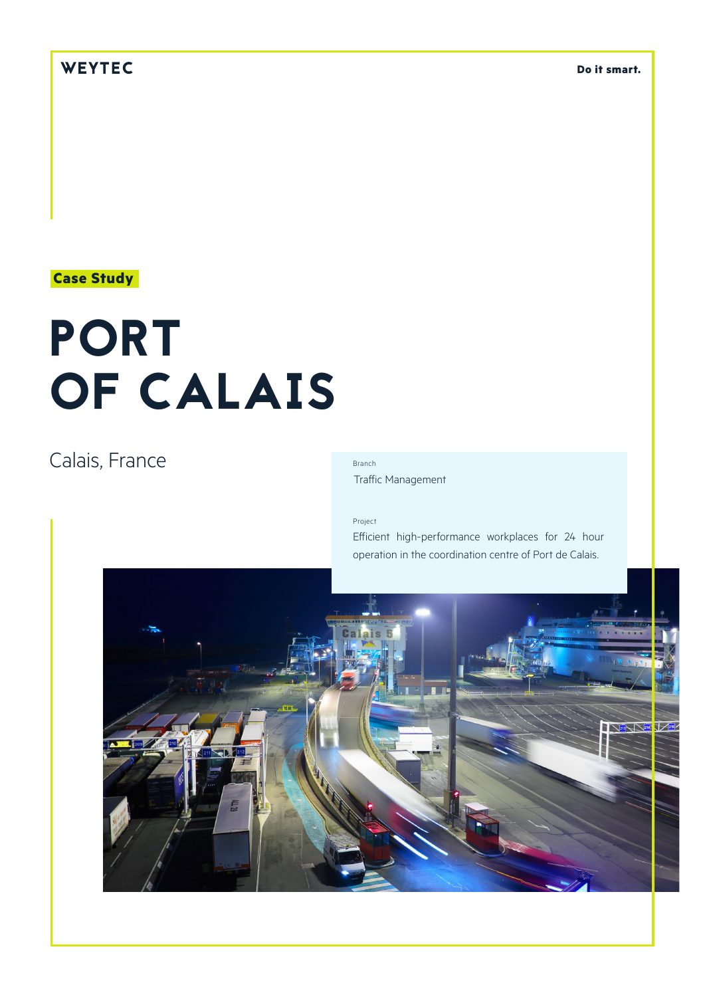# WEYTEC

**Do it smart.**

## **Case Study**

# PORT OF CALAIS

# Calais, France

### Branch

Traffic Management

#### Project

Efficient high-performance workplaces for 24 hour operation in the coordination centre of Port de Calais.

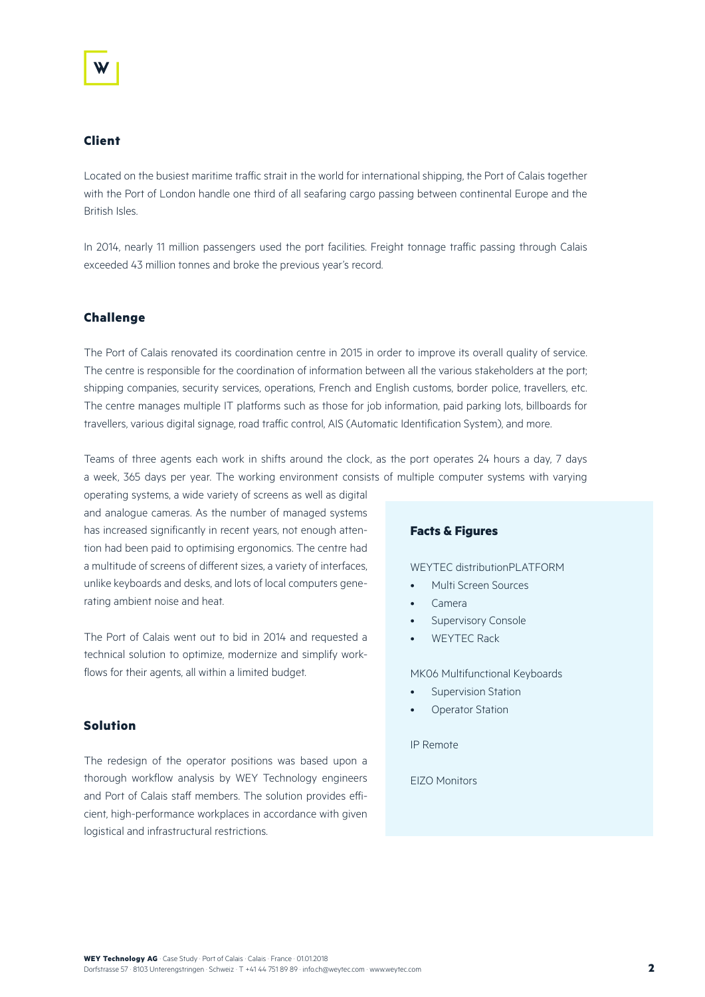#### **Client**

Located on the busiest maritime traffic strait in the world for international shipping, the Port of Calais together with the Port of London handle one third of all seafaring cargo passing between continental Europe and the British Isles.

In 2014, nearly 11 million passengers used the port facilities. Freight tonnage traffic passing through Calais exceeded 43 million tonnes and broke the previous year's record.

#### **Challenge**

The Port of Calais renovated its coordination centre in 2015 in order to improve its overall quality of service. The centre is responsible for the coordination of information between all the various stakeholders at the port; shipping companies, security services, operations, French and English customs, border police, travellers, etc. The centre manages multiple IT platforms such as those for job information, paid parking lots, billboards for travellers, various digital signage, road traffic control, AIS (Automatic Identification System), and more.

Teams of three agents each work in shifts around the clock, as the port operates 24 hours a day, 7 days a week, 365 days per year. The working environment consists of multiple computer systems with varying

operating systems, a wide variety of screens as well as digital and analogue cameras. As the number of managed systems has increased significantly in recent years, not enough attention had been paid to optimising ergonomics. The centre had a multitude of screens of different sizes, a variety of interfaces, unlike keyboards and desks, and lots of local computers generating ambient noise and heat.

The Port of Calais went out to bid in 2014 and requested a technical solution to optimize, modernize and simplify workflows for their agents, all within a limited budget.

#### **Solution**

The redesign of the operator positions was based upon a thorough workflow analysis by WEY Technology engineers and Port of Calais staff members. The solution provides efficient, high-performance workplaces in accordance with given logistical and infrastructural restrictions.

#### **Facts & Figures**

#### WEYTEC distributionPLATFORM

- Multi Screen Sources
- Camera
- Supervisory Console
- WEYTEC Rack

MK06 Multifunctional Keyboards

- Supervision Station
- **Operator Station**

IP Remote

EIZO Monitors